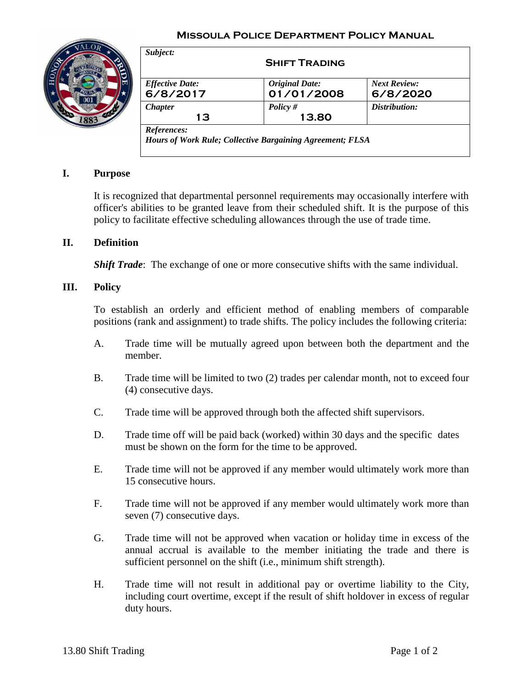### **Missoula Police Department Policy Manual**



| <b>Effective Date:</b> | <b>Original Date:</b> | <b>Next Review:</b> |
|------------------------|-----------------------|---------------------|
| 6/8/2017               | 01/01/2008            | 6/8/2020            |
| <b>Chapter</b>         | Policy $#$            | Distribution:       |
| 13                     | 13.80                 |                     |

## **I. Purpose**

It is recognized that departmental personnel requirements may occasionally interfere with officer's abilities to be granted leave from their scheduled shift. It is the purpose of this policy to facilitate effective scheduling allowances through the use of trade time.

### **II. Definition**

*Shift Trade*: The exchange of one or more consecutive shifts with the same individual.

#### **III. Policy**

To establish an orderly and efficient method of enabling members of comparable positions (rank and assignment) to trade shifts. The policy includes the following criteria:

- A. Trade time will be mutually agreed upon between both the department and the member.
- B. Trade time will be limited to two (2) trades per calendar month, not to exceed four (4) consecutive days.
- C. Trade time will be approved through both the affected shift supervisors.
- D. Trade time off will be paid back (worked) within 30 days and the specific dates must be shown on the form for the time to be approved.
- E. Trade time will not be approved if any member would ultimately work more than 15 consecutive hours.
- F. Trade time will not be approved if any member would ultimately work more than seven (7) consecutive days.
- G. Trade time will not be approved when vacation or holiday time in excess of the annual accrual is available to the member initiating the trade and there is sufficient personnel on the shift (i.e., minimum shift strength).
- H. Trade time will not result in additional pay or overtime liability to the City, including court overtime, except if the result of shift holdover in excess of regular duty hours.